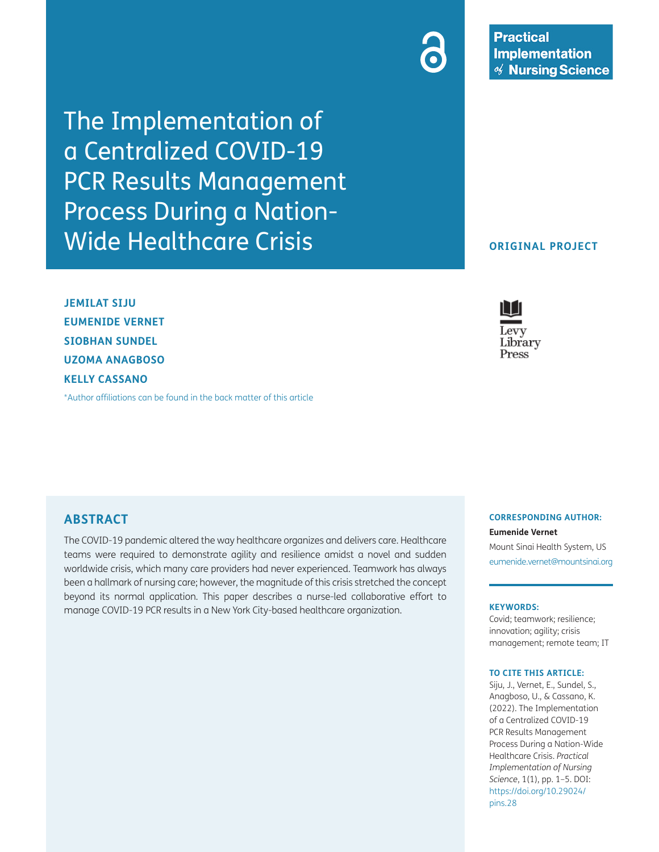The Implementation of a Centralized COVID-19 PCR Results Management Process During a Nation-Wide Healthcare Crisis

**JEMILAT SIJU EUMENIDE VERNET SIOBHAN SUNDEL UZOMA ANAGBOSO KELLY CASSANO**

[\\*Author affiliations can be found in the back matter of this article](#page-4-0)

# **ABSTRACT**

The COVID-19 pandemic altered the way healthcare organizes and delivers care. Healthcare teams were required to demonstrate agility and resilience amidst a novel and sudden worldwide crisis, which many care providers had never experienced. Teamwork has always been a hallmark of nursing care; however, the magnitude of this crisis stretched the concept beyond its normal application. This paper describes a nurse-led collaborative effort to manage COVID-19 PCR results in a New York City-based healthcare organization.

**CORRESPONDING AUTHOR: Eumenide Vernet**

Mount Sinai Health System, US [eumenide.vernet@mountsinai.org](mailto:eumenide.vernet@mountsinai.org)

#### **KEYWORDS:**

Covid; teamwork; resilience; innovation; agility; crisis management; remote team; IT

#### **TO CITE THIS ARTICLE:**

Siju, J., Vernet, E., Sundel, S., Anagboso, U., & Cassano, K. (2022). The Implementation of a Centralized COVID-19 PCR Results Management Process During a Nation-Wide Healthcare Crisis. *Practical Implementation of Nursing Science*, 1(1), pp. 1–5. DOI: [https://doi.org/10.29024/](https://doi.org/10.29024/pins.28) [pins.28](https://doi.org/10.29024/pins.28)

### **ORIGINAL PROJECT**

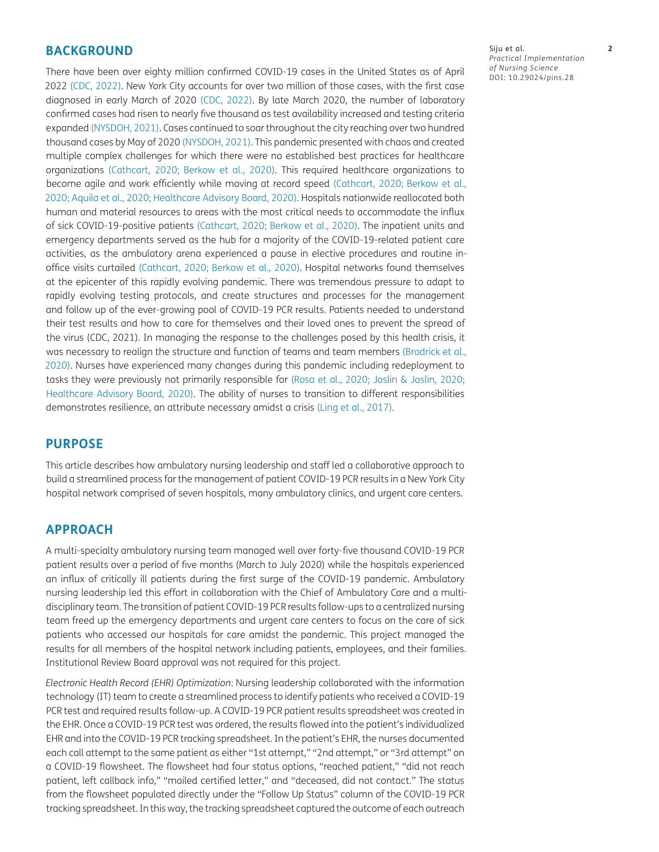### **BACKGROUND**

There have been over eighty million confirmed COVID-19 cases in the United States as of April 2022 [\(CDC, 2022\)](#page-4-1). New York City accounts for over two million of those cases, with the first case diagnosed in early March of 2020 [\(CDC, 2022](#page-4-1)). By late March 2020, the number of laboratory confirmed cases had risen to nearly five thousand as test availability increased and testing criteria expanded [\(NYSDOH, 2021](#page-4-2)). Cases continued to soar throughout the city reaching over two hundred thousand cases by May of 2020 [\(NYSDOH, 2021](#page-4-2)). This pandemic presented with chaos and created multiple complex challenges for which there were no established best practices for healthcare organizations ([Cathcart, 2020;](#page-4-3) [Berkow et al., 2020](#page-4-4)). This required healthcare organizations to become agile and work efficiently while moving at record speed ([Cathcart, 2020;](#page-4-5) [Berkow et al.,](#page-4-4)  [2020](#page-4-4); [Aquila et al., 2020](#page-4-6); [Healthcare Advisory Board, 2020\)](#page-4-7). Hospitals nationwide reallocated both human and material resources to areas with the most critical needs to accommodate the influx of sick COVID-19-positive patients ([Cathcart, 2020;](#page-4-3) [Berkow et al., 2020](#page-4-4)). The inpatient units and emergency departments served as the hub for a majority of the COVID-19-related patient care activities, as the ambulatory arena experienced a pause in elective procedures and routine inoffice visits curtailed ([Cathcart, 2020;](#page-4-3) [Berkow et al., 2020\)](#page-4-4). Hospital networks found themselves at the epicenter of this rapidly evolving pandemic. There was tremendous pressure to adapt to rapidly evolving testing protocols, and create structures and processes for the management and follow up of the ever-growing pool of COVID-19 PCR results. Patients needed to understand their test results and how to care for themselves and their loved ones to prevent the spread of the virus (CDC, 2021). In managing the response to the challenges posed by this health crisis, it was necessary to realign the structure and function of teams and team members (Brodrick et al., 2020). Nurses have experienced many changes during this pandemic including redeployment to tasks they were previously not primarily responsible for [\(Rosa et al., 2020;](#page-4-8) [Joslin & Joslin, 2020;](#page-4-9) [Healthcare Advisory Board, 2020\)](#page-4-7). The ability of nurses to transition to different responsibilities demonstrates resilience, an attribute necessary amidst a crisis ([Ling et al., 2017](#page-4-10)).

## **PURPOSE**

This article describes how ambulatory nursing leadership and staff led a collaborative approach to build a streamlined process for the management of patient COVID-19 PCR results in a New York City hospital network comprised of seven hospitals, many ambulatory clinics, and urgent care centers.

# **APPROACH**

A multi-specialty ambulatory nursing team managed well over forty-five thousand COVID-19 PCR patient results over a period of five months (March to July 2020) while the hospitals experienced an influx of critically ill patients during the first surge of the COVID-19 pandemic. Ambulatory nursing leadership led this effort in collaboration with the Chief of Ambulatory Care and a multidisciplinary team. The transition of patient COVID-19 PCR results follow-ups to a centralized nursing team freed up the emergency departments and urgent care centers to focus on the care of sick patients who accessed our hospitals for care amidst the pandemic. This project managed the results for all members of the hospital network including patients, employees, and their families. Institutional Review Board approval was not required for this project.

*Electronic Health Record (EHR) Optimization*: Nursing leadership collaborated with the information technology (IT) team to create a streamlined process to identify patients who received a COVID-19 PCR test and required results follow-up. A COVID-19 PCR patient results spreadsheet was created in the EHR. Once a COVID-19 PCR test was ordered, the results flowed into the patient's individualized EHR and into the COVID-19 PCR tracking spreadsheet. In the patient's EHR, the nurses documented each call attempt to the same patient as either "1st attempt," "2nd attempt," or "3rd attempt" on a COVID-19 flowsheet. The flowsheet had four status options, "reached patient," "did not reach patient, left callback info," "mailed certified letter," and "deceased, did not contact." The status from the flowsheet populated directly under the "Follow Up Status" column of the COVID-19 PCR tracking spreadsheet. In this way, the tracking spreadsheet captured the outcome of each outreach

Siju et al. **2** *Practical Implementation of Nursing Science* DOI: 10.29024/pins.28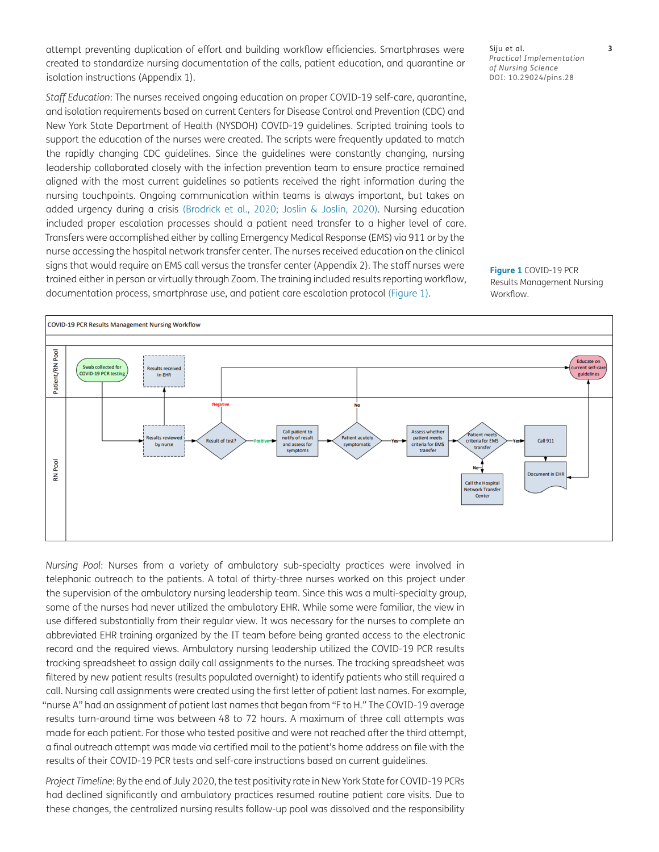attempt preventing duplication of effort and building workflow efficiencies. Smartphrases were created to standardize nursing documentation of the calls, patient education, and quarantine or isolation instructions (Appendix 1).

*Staff Education*: The nurses received ongoing education on proper COVID-19 self-care, quarantine, and isolation requirements based on current Centers for Disease Control and Prevention (CDC) and New York State Department of Health (NYSDOH) COVID-19 guidelines. Scripted training tools to support the education of the nurses were created. The scripts were frequently updated to match the rapidly changing CDC guidelines. Since the guidelines were constantly changing, nursing leadership collaborated closely with the infection prevention team to ensure practice remained aligned with the most current guidelines so patients received the right information during the nursing touchpoints. Ongoing communication within teams is always important, but takes on added urgency during a crisis (Brodrick et al., 2020; [Joslin & Joslin, 2020\)](#page-4-9). Nursing education included proper escalation processes should a patient need transfer to a higher level of care. Transfers were accomplished either by calling Emergency Medical Response (EMS) via 911 or by the nurse accessing the hospital network transfer center. The nurses received education on the clinical signs that would require an EMS call versus the transfer center (Appendix 2). The staff nurses were trained either in person or virtually through Zoom. The training included results reporting workflow, documentation process, smartphrase use, and patient care escalation protocol ([Figure](#page-2-0) 1).

*Nursing Pool*: Nurses from a variety of ambulatory sub-specialty practices were involved in telephonic outreach to the patients. A total of thirty-three nurses worked on this project under the supervision of the ambulatory nursing leadership team. Since this was a multi-specialty group, some of the nurses had never utilized the ambulatory EHR. While some were familiar, the view in use differed substantially from their regular view. It was necessary for the nurses to complete an abbreviated EHR training organized by the IT team before being granted access to the electronic record and the required views. Ambulatory nursing leadership utilized the COVID-19 PCR results tracking spreadsheet to assign daily call assignments to the nurses. The tracking spreadsheet was filtered by new patient results (results populated overnight) to identify patients who still required a call. Nursing call assignments were created using the first letter of patient last names. For example, "nurse A" had an assignment of patient last names that began from "F to H." The COVID-19 average results turn-around time was between 48 to 72 hours. A maximum of three call attempts was made for each patient. For those who tested positive and were not reached after the third attempt, a final outreach attempt was made via certified mail to the patient's home address on file with the results of their COVID-19 PCR tests and self-care instructions based on current guidelines.

*Project Timeline*: By the end of July 2020, the test positivity rate in New York State for COVID-19 PCRs had declined significantly and ambulatory practices resumed routine patient care visits. Due to these changes, the centralized nursing results follow-up pool was dissolved and the responsibility

<span id="page-2-0"></span>**Figure 1** COVID-19 PCR Results Management Nursing Workflow.



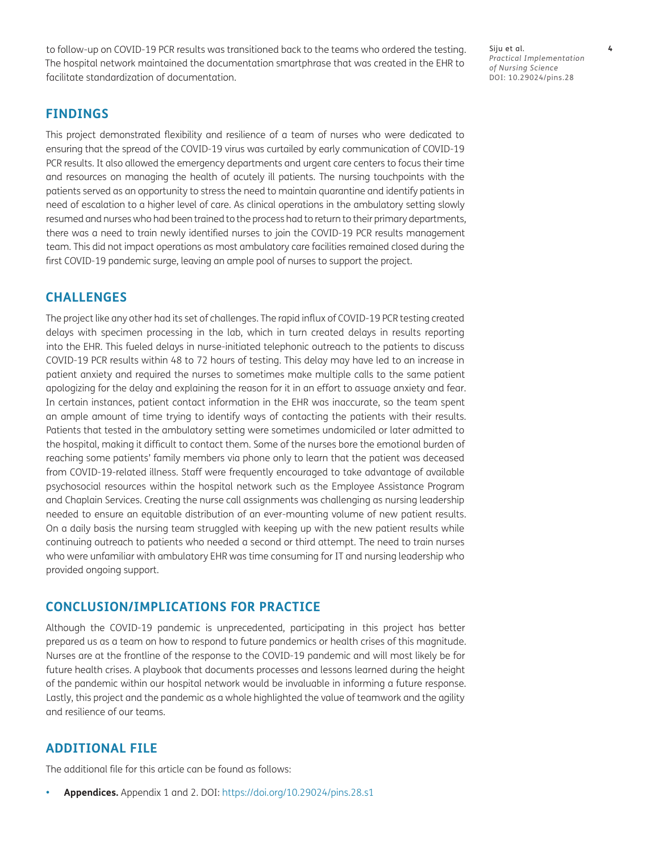to follow-up on COVID-19 PCR results was transitioned back to the teams who ordered the testing. The hospital network maintained the documentation smartphrase that was created in the EHR to facilitate standardization of documentation.

Siju et al. **4** *Practical Implementation of Nursing Science* DOI: 10.29024/pins.28

## **FINDINGS**

This project demonstrated flexibility and resilience of a team of nurses who were dedicated to ensuring that the spread of the COVID-19 virus was curtailed by early communication of COVID-19 PCR results. It also allowed the emergency departments and urgent care centers to focus their time and resources on managing the health of acutely ill patients. The nursing touchpoints with the patients served as an opportunity to stress the need to maintain quarantine and identify patients in need of escalation to a higher level of care. As clinical operations in the ambulatory setting slowly resumed and nurses who had been trained to the process had to return to their primary departments, there was a need to train newly identified nurses to join the COVID-19 PCR results management team. This did not impact operations as most ambulatory care facilities remained closed during the first COVID-19 pandemic surge, leaving an ample pool of nurses to support the project.

## **CHALLENGES**

The project like any other had its set of challenges. The rapid influx of COVID-19 PCR testing created delays with specimen processing in the lab, which in turn created delays in results reporting into the EHR. This fueled delays in nurse-initiated telephonic outreach to the patients to discuss COVID-19 PCR results within 48 to 72 hours of testing. This delay may have led to an increase in patient anxiety and required the nurses to sometimes make multiple calls to the same patient apologizing for the delay and explaining the reason for it in an effort to assuage anxiety and fear. In certain instances, patient contact information in the EHR was inaccurate, so the team spent an ample amount of time trying to identify ways of contacting the patients with their results. Patients that tested in the ambulatory setting were sometimes undomiciled or later admitted to the hospital, making it difficult to contact them. Some of the nurses bore the emotional burden of reaching some patients' family members via phone only to learn that the patient was deceased from COVID-19-related illness. Staff were frequently encouraged to take advantage of available psychosocial resources within the hospital network such as the Employee Assistance Program and Chaplain Services. Creating the nurse call assignments was challenging as nursing leadership needed to ensure an equitable distribution of an ever-mounting volume of new patient results. On a daily basis the nursing team struggled with keeping up with the new patient results while continuing outreach to patients who needed a second or third attempt. The need to train nurses who were unfamiliar with ambulatory EHR was time consuming for IT and nursing leadership who provided ongoing support.

## **CONCLUSION/IMPLICATIONS FOR PRACTICE**

Although the COVID-19 pandemic is unprecedented, participating in this project has better prepared us as a team on how to respond to future pandemics or health crises of this magnitude. Nurses are at the frontline of the response to the COVID-19 pandemic and will most likely be for future health crises. A playbook that documents processes and lessons learned during the height of the pandemic within our hospital network would be invaluable in informing a future response. Lastly, this project and the pandemic as a whole highlighted the value of teamwork and the agility and resilience of our teams.

# **ADDITIONAL FILE**

The additional file for this article can be found as follows:

**• Appendices.** Appendix 1 and 2. DOI: <https://doi.org/10.29024/pins.28.s1>